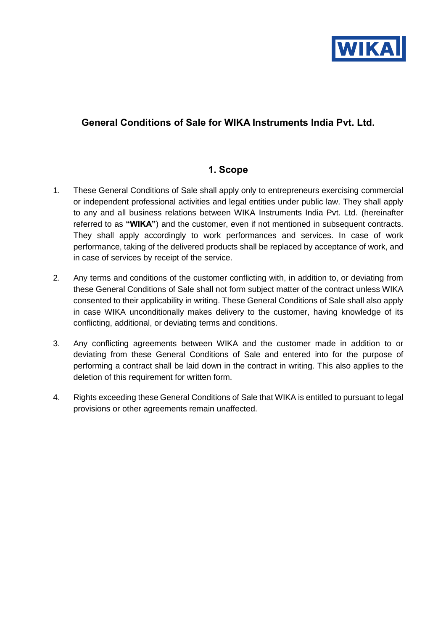

# **General Conditions of Sale for WIKA Instruments India Pvt. Ltd.**

#### **1. Scope**

- 1. These General Conditions of Sale shall apply only to entrepreneurs exercising commercial or independent professional activities and legal entities under public law. They shall apply to any and all business relations between WIKA Instruments India Pvt. Ltd. (hereinafter referred to as **"WIKA"**) and the customer, even if not mentioned in subsequent contracts. They shall apply accordingly to work performances and services. In case of work performance, taking of the delivered products shall be replaced by acceptance of work, and in case of services by receipt of the service.
- 2. Any terms and conditions of the customer conflicting with, in addition to, or deviating from these General Conditions of Sale shall not form subject matter of the contract unless WIKA consented to their applicability in writing. These General Conditions of Sale shall also apply in case WIKA unconditionally makes delivery to the customer, having knowledge of its conflicting, additional, or deviating terms and conditions.
- 3. Any conflicting agreements between WIKA and the customer made in addition to or deviating from these General Conditions of Sale and entered into for the purpose of performing a contract shall be laid down in the contract in writing. This also applies to the deletion of this requirement for written form.
- 4. Rights exceeding these General Conditions of Sale that WIKA is entitled to pursuant to legal provisions or other agreements remain unaffected.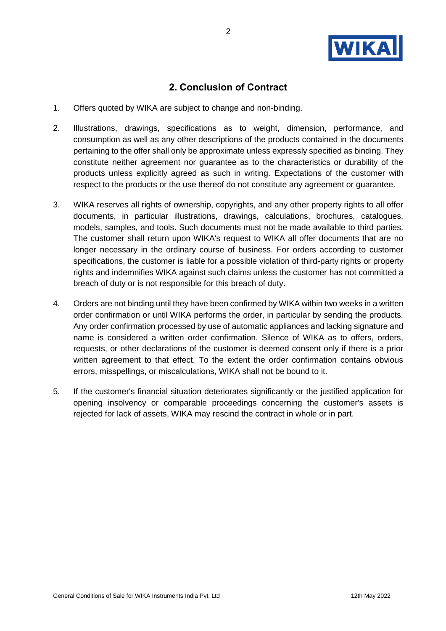

### **2. Conclusion of Contract**

- 1. Offers quoted by WIKA are subject to change and non-binding.
- 2. Illustrations, drawings, specifications as to weight, dimension, performance, and consumption as well as any other descriptions of the products contained in the documents pertaining to the offer shall only be approximate unless expressly specified as binding. They constitute neither agreement nor guarantee as to the characteristics or durability of the products unless explicitly agreed as such in writing. Expectations of the customer with respect to the products or the use thereof do not constitute any agreement or guarantee.
- 3. WIKA reserves all rights of ownership, copyrights, and any other property rights to all offer documents, in particular illustrations, drawings, calculations, brochures, catalogues, models, samples, and tools. Such documents must not be made available to third parties. The customer shall return upon WIKA's request to WIKA all offer documents that are no longer necessary in the ordinary course of business. For orders according to customer specifications, the customer is liable for a possible violation of third-party rights or property rights and indemnifies WIKA against such claims unless the customer has not committed a breach of duty or is not responsible for this breach of duty.
- 4. Orders are not binding until they have been confirmed by WIKA within two weeks in a written order confirmation or until WIKA performs the order, in particular by sending the products. Any order confirmation processed by use of automatic appliances and lacking signature and name is considered a written order confirmation. Silence of WIKA as to offers, orders, requests, or other declarations of the customer is deemed consent only if there is a prior written agreement to that effect. To the extent the order confirmation contains obvious errors, misspellings, or miscalculations, WIKA shall not be bound to it.
- 5. If the customer's financial situation deteriorates significantly or the justified application for opening insolvency or comparable proceedings concerning the customer's assets is rejected for lack of assets, WIKA may rescind the contract in whole or in part.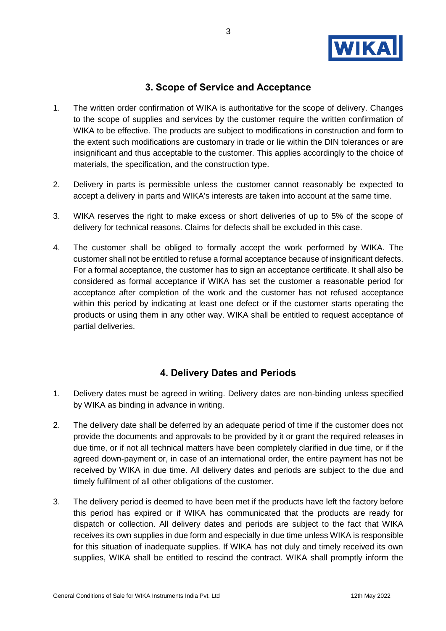

# **3. Scope of Service and Acceptance**

- 1. The written order confirmation of WIKA is authoritative for the scope of delivery. Changes to the scope of supplies and services by the customer require the written confirmation of WIKA to be effective. The products are subject to modifications in construction and form to the extent such modifications are customary in trade or lie within the DIN tolerances or are insignificant and thus acceptable to the customer. This applies accordingly to the choice of materials, the specification, and the construction type.
- 2. Delivery in parts is permissible unless the customer cannot reasonably be expected to accept a delivery in parts and WIKA's interests are taken into account at the same time.
- 3. WIKA reserves the right to make excess or short deliveries of up to 5% of the scope of delivery for technical reasons. Claims for defects shall be excluded in this case.
- 4. The customer shall be obliged to formally accept the work performed by WIKA. The customer shall not be entitled to refuse a formal acceptance because of insignificant defects. For a formal acceptance, the customer has to sign an acceptance certificate. It shall also be considered as formal acceptance if WIKA has set the customer a reasonable period for acceptance after completion of the work and the customer has not refused acceptance within this period by indicating at least one defect or if the customer starts operating the products or using them in any other way. WIKA shall be entitled to request acceptance of partial deliveries.

## **4. Delivery Dates and Periods**

- 1. Delivery dates must be agreed in writing. Delivery dates are non-binding unless specified by WIKA as binding in advance in writing.
- 2. The delivery date shall be deferred by an adequate period of time if the customer does not provide the documents and approvals to be provided by it or grant the required releases in due time, or if not all technical matters have been completely clarified in due time, or if the agreed down-payment or, in case of an international order, the entire payment has not be received by WIKA in due time. All delivery dates and periods are subject to the due and timely fulfilment of all other obligations of the customer.
- 3. The delivery period is deemed to have been met if the products have left the factory before this period has expired or if WIKA has communicated that the products are ready for dispatch or collection. All delivery dates and periods are subject to the fact that WIKA receives its own supplies in due form and especially in due time unless WIKA is responsible for this situation of inadequate supplies. If WIKA has not duly and timely received its own supplies, WIKA shall be entitled to rescind the contract. WIKA shall promptly inform the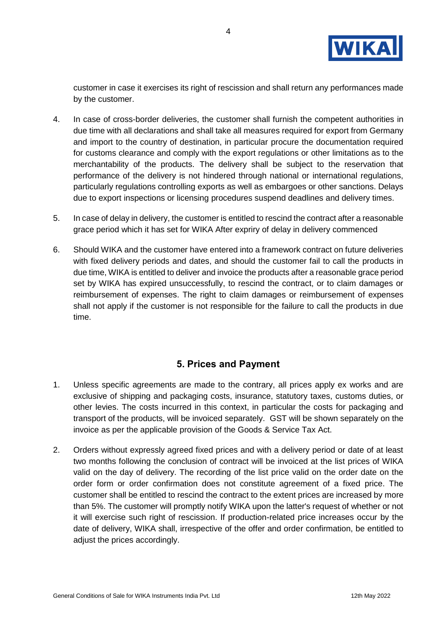

customer in case it exercises its right of rescission and shall return any performances made by the customer.

- 4. In case of cross-border deliveries, the customer shall furnish the competent authorities in due time with all declarations and shall take all measures required for export from Germany and import to the country of destination, in particular procure the documentation required for customs clearance and comply with the export regulations or other limitations as to the merchantability of the products. The delivery shall be subject to the reservation that performance of the delivery is not hindered through national or international regulations, particularly regulations controlling exports as well as embargoes or other sanctions. Delays due to export inspections or licensing procedures suspend deadlines and delivery times.
- 5. In case of delay in delivery, the customer is entitled to rescind the contract after a reasonable grace period which it has set for WIKA After expriry of delay in delivery commenced
- 6. Should WIKA and the customer have entered into a framework contract on future deliveries with fixed delivery periods and dates, and should the customer fail to call the products in due time, WIKA is entitled to deliver and invoice the products after a reasonable grace period set by WIKA has expired unsuccessfully, to rescind the contract, or to claim damages or reimbursement of expenses. The right to claim damages or reimbursement of expenses shall not apply if the customer is not responsible for the failure to call the products in due time.

#### **5. Prices and Payment**

- 1. Unless specific agreements are made to the contrary, all prices apply ex works and are exclusive of shipping and packaging costs, insurance, statutory taxes, customs duties, or other levies. The costs incurred in this context, in particular the costs for packaging and transport of the products, will be invoiced separately. GST will be shown separately on the invoice as per the applicable provision of the Goods & Service Tax Act.
- 2. Orders without expressly agreed fixed prices and with a delivery period or date of at least two months following the conclusion of contract will be invoiced at the list prices of WIKA valid on the day of delivery. The recording of the list price valid on the order date on the order form or order confirmation does not constitute agreement of a fixed price. The customer shall be entitled to rescind the contract to the extent prices are increased by more than 5%. The customer will promptly notify WIKA upon the latter's request of whether or not it will exercise such right of rescission. If production-related price increases occur by the date of delivery, WIKA shall, irrespective of the offer and order confirmation, be entitled to adjust the prices accordingly.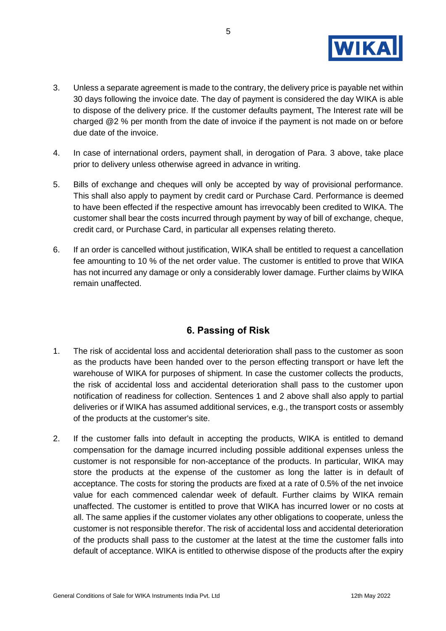

- 3. Unless a separate agreement is made to the contrary, the delivery price is payable net within 30 days following the invoice date. The day of payment is considered the day WIKA is able to dispose of the delivery price. If the customer defaults payment, The Interest rate will be charged @2 % per month from the date of invoice if the payment is not made on or before due date of the invoice.
- 4. In case of international orders, payment shall, in derogation of Para. 3 above, take place prior to delivery unless otherwise agreed in advance in writing.
- 5. Bills of exchange and cheques will only be accepted by way of provisional performance. This shall also apply to payment by credit card or Purchase Card. Performance is deemed to have been effected if the respective amount has irrevocably been credited to WIKA. The customer shall bear the costs incurred through payment by way of bill of exchange, cheque, credit card, or Purchase Card, in particular all expenses relating thereto.
- 6. If an order is cancelled without justification, WIKA shall be entitled to request a cancellation fee amounting to 10 % of the net order value. The customer is entitled to prove that WIKA has not incurred any damage or only a considerably lower damage. Further claims by WIKA remain unaffected.

## **6. Passing of Risk**

- 1. The risk of accidental loss and accidental deterioration shall pass to the customer as soon as the products have been handed over to the person effecting transport or have left the warehouse of WIKA for purposes of shipment. In case the customer collects the products, the risk of accidental loss and accidental deterioration shall pass to the customer upon notification of readiness for collection. Sentences 1 and 2 above shall also apply to partial deliveries or if WIKA has assumed additional services, e.g., the transport costs or assembly of the products at the customer's site.
- 2. If the customer falls into default in accepting the products, WIKA is entitled to demand compensation for the damage incurred including possible additional expenses unless the customer is not responsible for non-acceptance of the products. In particular, WIKA may store the products at the expense of the customer as long the latter is in default of acceptance. The costs for storing the products are fixed at a rate of 0.5% of the net invoice value for each commenced calendar week of default. Further claims by WIKA remain unaffected. The customer is entitled to prove that WIKA has incurred lower or no costs at all. The same applies if the customer violates any other obligations to cooperate, unless the customer is not responsible therefor. The risk of accidental loss and accidental deterioration of the products shall pass to the customer at the latest at the time the customer falls into default of acceptance. WIKA is entitled to otherwise dispose of the products after the expiry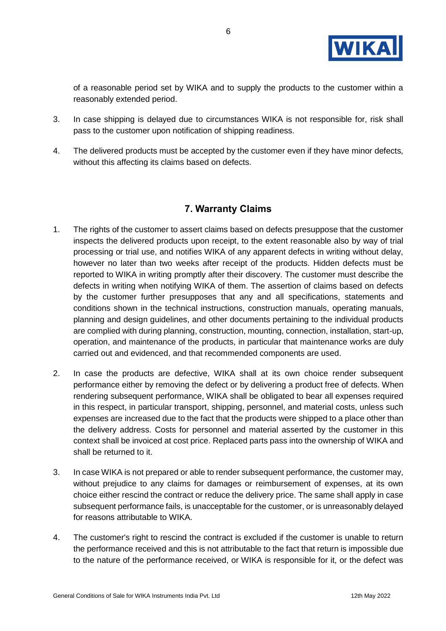

of a reasonable period set by WIKA and to supply the products to the customer within a reasonably extended period.

- 3. In case shipping is delayed due to circumstances WIKA is not responsible for, risk shall pass to the customer upon notification of shipping readiness.
- 4. The delivered products must be accepted by the customer even if they have minor defects, without this affecting its claims based on defects.

### **7. Warranty Claims**

- 1. The rights of the customer to assert claims based on defects presuppose that the customer inspects the delivered products upon receipt, to the extent reasonable also by way of trial processing or trial use, and notifies WIKA of any apparent defects in writing without delay, however no later than two weeks after receipt of the products. Hidden defects must be reported to WIKA in writing promptly after their discovery. The customer must describe the defects in writing when notifying WIKA of them. The assertion of claims based on defects by the customer further presupposes that any and all specifications, statements and conditions shown in the technical instructions, construction manuals, operating manuals, planning and design guidelines, and other documents pertaining to the individual products are complied with during planning, construction, mounting, connection, installation, start-up, operation, and maintenance of the products, in particular that maintenance works are duly carried out and evidenced, and that recommended components are used.
- 2. In case the products are defective, WIKA shall at its own choice render subsequent performance either by removing the defect or by delivering a product free of defects. When rendering subsequent performance, WIKA shall be obligated to bear all expenses required in this respect, in particular transport, shipping, personnel, and material costs, unless such expenses are increased due to the fact that the products were shipped to a place other than the delivery address. Costs for personnel and material asserted by the customer in this context shall be invoiced at cost price. Replaced parts pass into the ownership of WIKA and shall be returned to it.
- 3. In case WIKA is not prepared or able to render subsequent performance, the customer may, without prejudice to any claims for damages or reimbursement of expenses, at its own choice either rescind the contract or reduce the delivery price. The same shall apply in case subsequent performance fails, is unacceptable for the customer, or is unreasonably delayed for reasons attributable to WIKA.
- 4. The customer's right to rescind the contract is excluded if the customer is unable to return the performance received and this is not attributable to the fact that return is impossible due to the nature of the performance received, or WIKA is responsible for it, or the defect was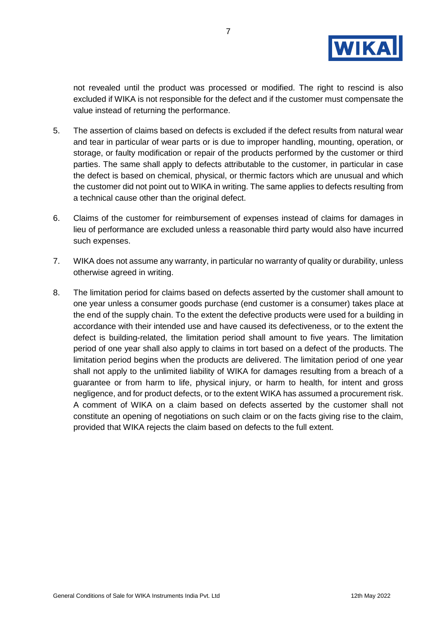

not revealed until the product was processed or modified. The right to rescind is also excluded if WIKA is not responsible for the defect and if the customer must compensate the value instead of returning the performance.

- 5. The assertion of claims based on defects is excluded if the defect results from natural wear and tear in particular of wear parts or is due to improper handling, mounting, operation, or storage, or faulty modification or repair of the products performed by the customer or third parties. The same shall apply to defects attributable to the customer, in particular in case the defect is based on chemical, physical, or thermic factors which are unusual and which the customer did not point out to WIKA in writing. The same applies to defects resulting from a technical cause other than the original defect.
- 6. Claims of the customer for reimbursement of expenses instead of claims for damages in lieu of performance are excluded unless a reasonable third party would also have incurred such expenses.
- 7. WIKA does not assume any warranty, in particular no warranty of quality or durability, unless otherwise agreed in writing.
- 8. The limitation period for claims based on defects asserted by the customer shall amount to one year unless a consumer goods purchase (end customer is a consumer) takes place at the end of the supply chain. To the extent the defective products were used for a building in accordance with their intended use and have caused its defectiveness, or to the extent the defect is building-related, the limitation period shall amount to five years. The limitation period of one year shall also apply to claims in tort based on a defect of the products. The limitation period begins when the products are delivered. The limitation period of one year shall not apply to the unlimited liability of WIKA for damages resulting from a breach of a guarantee or from harm to life, physical injury, or harm to health, for intent and gross negligence, and for product defects, or to the extent WIKA has assumed a procurement risk. A comment of WIKA on a claim based on defects asserted by the customer shall not constitute an opening of negotiations on such claim or on the facts giving rise to the claim, provided that WIKA rejects the claim based on defects to the full extent.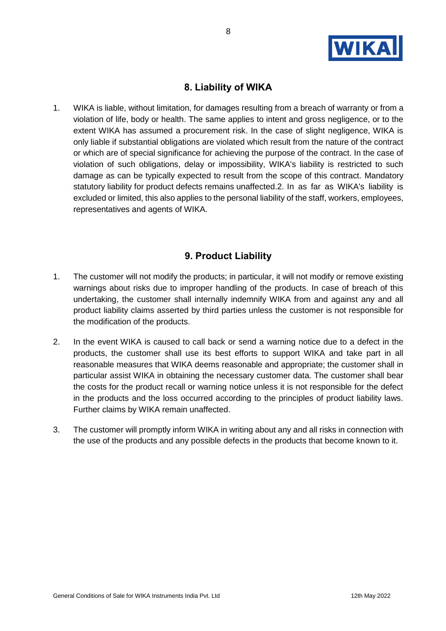

## **8. Liability of WIKA**

1. WIKA is liable, without limitation, for damages resulting from a breach of warranty or from a violation of life, body or health. The same applies to intent and gross negligence, or to the extent WIKA has assumed a procurement risk. In the case of slight negligence, WIKA is only liable if substantial obligations are violated which result from the nature of the contract or which are of special significance for achieving the purpose of the contract. In the case of violation of such obligations, delay or impossibility, WIKA's liability is restricted to such damage as can be typically expected to result from the scope of this contract. Mandatory statutory liability for product defects remains unaffected.2. In as far as WIKA's liability is excluded or limited, this also applies to the personal liability of the staff, workers, employees, representatives and agents of WIKA.

### **9. Product Liability**

- 1. The customer will not modify the products; in particular, it will not modify or remove existing warnings about risks due to improper handling of the products. In case of breach of this undertaking, the customer shall internally indemnify WIKA from and against any and all product liability claims asserted by third parties unless the customer is not responsible for the modification of the products.
- 2. In the event WIKA is caused to call back or send a warning notice due to a defect in the products, the customer shall use its best efforts to support WIKA and take part in all reasonable measures that WIKA deems reasonable and appropriate; the customer shall in particular assist WIKA in obtaining the necessary customer data. The customer shall bear the costs for the product recall or warning notice unless it is not responsible for the defect in the products and the loss occurred according to the principles of product liability laws. Further claims by WIKA remain unaffected.
- 3. The customer will promptly inform WIKA in writing about any and all risks in connection with the use of the products and any possible defects in the products that become known to it.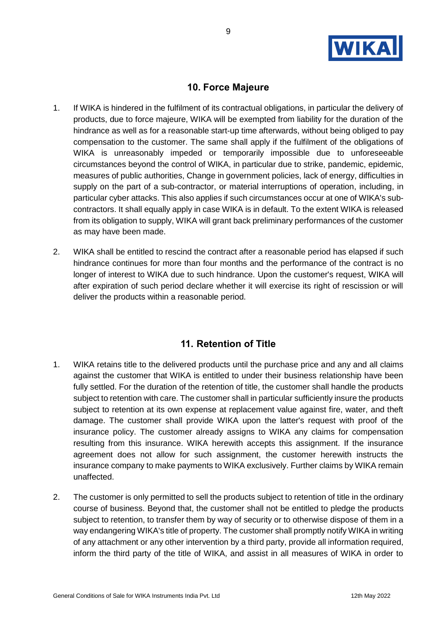

## **10. Force Majeure**

- 1. If WIKA is hindered in the fulfilment of its contractual obligations, in particular the delivery of products, due to force majeure, WIKA will be exempted from liability for the duration of the hindrance as well as for a reasonable start-up time afterwards, without being obliged to pay compensation to the customer. The same shall apply if the fulfilment of the obligations of WIKA is unreasonably impeded or temporarily impossible due to unforeseeable circumstances beyond the control of WIKA, in particular due to strike, pandemic, epidemic, measures of public authorities, Change in government policies, lack of energy, difficulties in supply on the part of a sub-contractor, or material interruptions of operation, including, in particular cyber attacks. This also applies if such circumstances occur at one of WIKA's subcontractors. It shall equally apply in case WIKA is in default. To the extent WIKA is released from its obligation to supply, WIKA will grant back preliminary performances of the customer as may have been made.
- 2. WIKA shall be entitled to rescind the contract after a reasonable period has elapsed if such hindrance continues for more than four months and the performance of the contract is no longer of interest to WIKA due to such hindrance. Upon the customer's request, WIKA will after expiration of such period declare whether it will exercise its right of rescission or will deliver the products within a reasonable period.

## **11. Retention of Title**

- 1. WIKA retains title to the delivered products until the purchase price and any and all claims against the customer that WIKA is entitled to under their business relationship have been fully settled. For the duration of the retention of title, the customer shall handle the products subject to retention with care. The customer shall in particular sufficiently insure the products subject to retention at its own expense at replacement value against fire, water, and theft damage. The customer shall provide WIKA upon the latter's request with proof of the insurance policy. The customer already assigns to WIKA any claims for compensation resulting from this insurance. WIKA herewith accepts this assignment. If the insurance agreement does not allow for such assignment, the customer herewith instructs the insurance company to make payments to WIKA exclusively. Further claims by WIKA remain unaffected.
- 2. The customer is only permitted to sell the products subject to retention of title in the ordinary course of business. Beyond that, the customer shall not be entitled to pledge the products subject to retention, to transfer them by way of security or to otherwise dispose of them in a way endangering WIKA's title of property. The customer shall promptly notify WIKA in writing of any attachment or any other intervention by a third party, provide all information required, inform the third party of the title of WIKA, and assist in all measures of WIKA in order to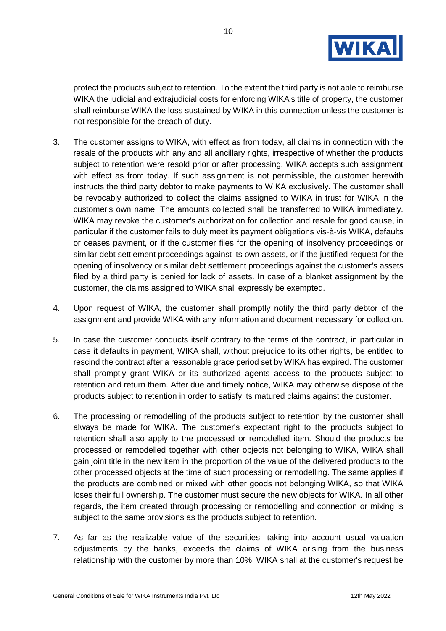

protect the products subject to retention. To the extent the third party is not able to reimburse WIKA the judicial and extrajudicial costs for enforcing WIKA's title of property, the customer shall reimburse WIKA the loss sustained by WIKA in this connection unless the customer is not responsible for the breach of duty.

- 3. The customer assigns to WIKA, with effect as from today, all claims in connection with the resale of the products with any and all ancillary rights, irrespective of whether the products subject to retention were resold prior or after processing. WIKA accepts such assignment with effect as from today. If such assignment is not permissible, the customer herewith instructs the third party debtor to make payments to WIKA exclusively. The customer shall be revocably authorized to collect the claims assigned to WIKA in trust for WIKA in the customer's own name. The amounts collected shall be transferred to WIKA immediately. WIKA may revoke the customer's authorization for collection and resale for good cause, in particular if the customer fails to duly meet its payment obligations vis-à-vis WIKA, defaults or ceases payment, or if the customer files for the opening of insolvency proceedings or similar debt settlement proceedings against its own assets, or if the justified request for the opening of insolvency or similar debt settlement proceedings against the customer's assets filed by a third party is denied for lack of assets. In case of a blanket assignment by the customer, the claims assigned to WIKA shall expressly be exempted.
- 4. Upon request of WIKA, the customer shall promptly notify the third party debtor of the assignment and provide WIKA with any information and document necessary for collection.
- 5. In case the customer conducts itself contrary to the terms of the contract, in particular in case it defaults in payment, WIKA shall, without prejudice to its other rights, be entitled to rescind the contract after a reasonable grace period set by WIKA has expired. The customer shall promptly grant WIKA or its authorized agents access to the products subject to retention and return them. After due and timely notice, WIKA may otherwise dispose of the products subject to retention in order to satisfy its matured claims against the customer.
- 6. The processing or remodelling of the products subject to retention by the customer shall always be made for WIKA. The customer's expectant right to the products subject to retention shall also apply to the processed or remodelled item. Should the products be processed or remodelled together with other objects not belonging to WIKA, WIKA shall gain joint title in the new item in the proportion of the value of the delivered products to the other processed objects at the time of such processing or remodelling. The same applies if the products are combined or mixed with other goods not belonging WIKA, so that WIKA loses their full ownership. The customer must secure the new objects for WIKA. In all other regards, the item created through processing or remodelling and connection or mixing is subject to the same provisions as the products subject to retention.
- 7. As far as the realizable value of the securities, taking into account usual valuation adjustments by the banks, exceeds the claims of WIKA arising from the business relationship with the customer by more than 10%, WIKA shall at the customer's request be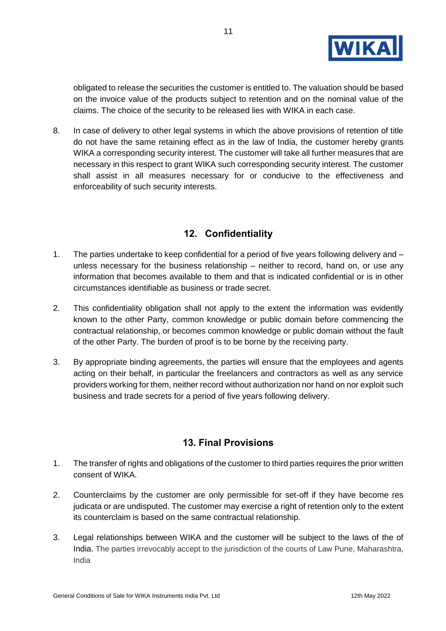

obligated to release the securities the customer is entitled to. The valuation should be based on the invoice value of the products subject to retention and on the nominal value of the claims. The choice of the security to be released lies with WIKA in each case.

8. In case of delivery to other legal systems in which the above provisions of retention of title do not have the same retaining effect as in the law of India, the customer hereby grants WIKA a corresponding security interest. The customer will take all further measures that are necessary in this respect to grant WIKA such corresponding security interest. The customer shall assist in all measures necessary for or conducive to the effectiveness and enforceability of such security interests.

### **12. Confidentiality**

- 1. The parties undertake to keep confidential for a period of five years following delivery and unless necessary for the business relationship – neither to record, hand on, or use any information that becomes available to them and that is indicated confidential or is in other circumstances identifiable as business or trade secret.
- 2. This confidentiality obligation shall not apply to the extent the information was evidently known to the other Party, common knowledge or public domain before commencing the contractual relationship, or becomes common knowledge or public domain without the fault of the other Party. The burden of proof is to be borne by the receiving party.
- 3. By appropriate binding agreements, the parties will ensure that the employees and agents acting on their behalf, in particular the freelancers and contractors as well as any service providers working for them, neither record without authorization nor hand on nor exploit such business and trade secrets for a period of five years following delivery.

#### **13. Final Provisions**

- 1. The transfer of rights and obligations of the customer to third parties requires the prior written consent of WIKA.
- 2. Counterclaims by the customer are only permissible for set-off if they have become res judicata or are undisputed. The customer may exercise a right of retention only to the extent its counterclaim is based on the same contractual relationship.
- 3. Legal relationships between WIKA and the customer will be subject to the laws of the of India. The parties irrevocably accept to the jurisdiction of the courts of Law Pune, Maharashtra, India